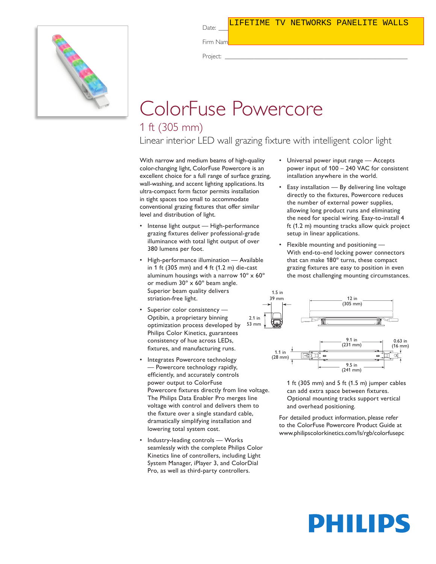#### Date: \_\_\_\_\_\_\_\_\_\_\_\_\_\_\_\_\_\_\_\_\_\_\_\_\_\_\_\_\_ Type: \_\_\_\_\_\_\_\_\_\_\_\_\_\_\_\_\_\_\_\_\_\_\_\_\_ LIFETIME TV NETWORKS PANELITE WALLS



Firm Name: \_\_\_\_\_\_\_\_\_\_\_\_\_\_\_\_\_\_\_\_\_\_\_\_\_\_\_\_\_\_\_\_\_\_\_\_\_\_\_\_\_\_\_\_\_\_\_\_\_\_\_\_\_\_

Project: \_\_\_\_\_\_\_\_\_\_\_\_\_\_\_\_\_\_\_\_\_\_\_\_\_\_\_\_\_\_\_\_\_\_\_\_\_\_\_\_\_\_\_\_\_\_\_\_\_\_\_\_\_\_\_\_\_

## ColorFuse Powercore

### 1 ft (305 mm)

Linear interior LED wall grazing fixture with intelligent color light

With narrow and medium beams of high-quality color-changing light, ColorFuse Powercore is an excellent choice for a full range of surface grazing, wall-washing, and accent lighting applications. Its ultra-compact form factor permits installation in tight spaces too small to accommodate conventional grazing fixtures that offer similar level and distribution of light.

- Intense light output High-performance grazing fixtures deliver professional-grade illuminance with total light output of over 380 lumens per foot.
- High-performance illumination Available in 1 ft (305 mm) and 4 ft (1.2 m) die-cast aluminum housings with a narrow 10º x 60º or medium 30º x 60º beam angle. Superior beam quality delivers striation-free light.
- Superior color consistency -Optibin, a proprietary binning optimization process developed by Philips Color Kinetics, guarantees consistency of hue across LEDs, fixtures, and manufacturing runs.
- Integrates Powercore technology — Powercore technology rapidly, efficiently, and accurately controls power output to ColorFuse Powercore fixtures directly from line voltage. The Philips Data Enabler Pro merges line voltage with control and delivers them to the fixture over a single standard cable, dramatically simplifying installation and lowering total system cost.
- Industry-leading controls Works seamlessly with the complete Philips Color Kinetics line of controllers, including Light System Manager, iPlayer 3, and ColorDial Pro, as well as third-party controllers.
- Universal power input range Accepts power input of 100 – 240 VAC for consistent intallation anywhere in the world.
- Easy installation By delivering line voltage directly to the fixtures, Powercore reduces the number of external power supplies, allowing long product runs and eliminating the need for special wiring. Easy-to-install 4 ft (1.2 m) mounting tracks allow quick project setup in linear applications.
- Flexible mounting and positioning With end-to-end locking power connectors that can make 180º turns, these compact grazing fixtures are easy to position in even the most challenging mounting circumstances.



1 ft (305 mm) and 5 ft (1.5 m) jumper cables can add extra space between fixtures. Optional mounting tracks support vertical and overhead positioning.

(241 mm)

For detailed product information, please refer to the ColorFuse Powercore Product Guide at www.philipscolorkinetics.com/ls/rgb/colorfusepc

# **DHILIDS**